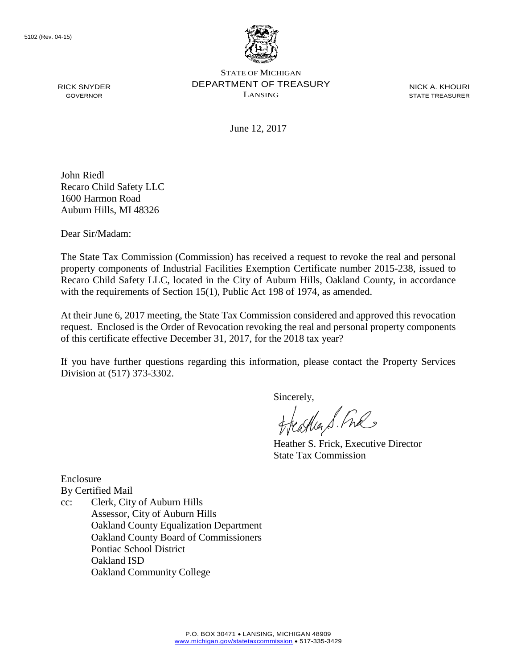

STATE OF MICHIGAN DEPARTMENT OF TREASURY LANSING

NICK A. KHOURI STATE TREASURER

June 12, 2017

John Riedl Recaro Child Safety LLC 1600 Harmon Road Auburn Hills, MI 48326

Dear Sir/Madam:

RICK SNYDER GOVERNOR

The State Tax Commission (Commission) has received a request to revoke the real and personal property components of Industrial Facilities Exemption Certificate number 2015-238, issued to Recaro Child Safety LLC, located in the City of Auburn Hills, Oakland County, in accordance with the requirements of Section 15(1), Public Act 198 of 1974, as amended.

At their June 6, 2017 meeting, the State Tax Commission considered and approved this revocation request. Enclosed is the Order of Revocation revoking the real and personal property components of this certificate effective December 31, 2017, for the 2018 tax year?

If you have further questions regarding this information, please contact the Property Services Division at (517) 373-3302.

Sincerely,

Cather S. Free

Heather S. Frick, Executive Director State Tax Commission

Enclosure By Certified Mail

cc: Clerk, City of Auburn Hills Assessor, City of Auburn Hills Oakland County Equalization Department Oakland County Board of Commissioners Pontiac School District Oakland ISD Oakland Community College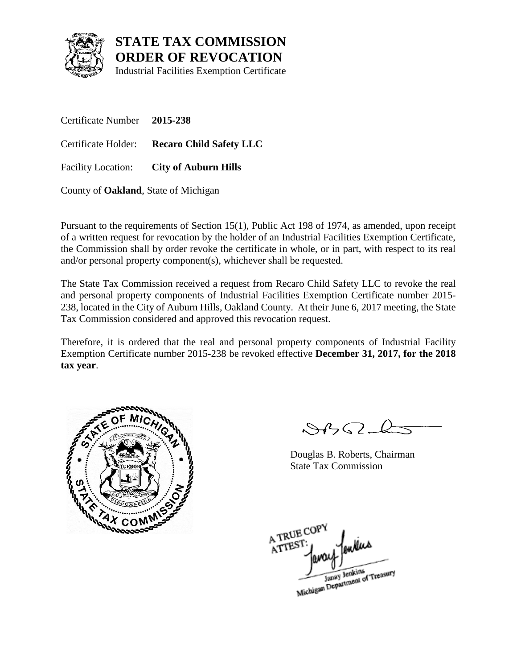

Industrial Facilities Exemption Certificate

Certificate Number **2015-238** Certificate Holder: **Recaro Child Safety LLC** Facility Location: **City of Auburn Hills**

County of **Oakland**, State of Michigan

Pursuant to the requirements of Section 15(1), Public Act 198 of 1974, as amended, upon receipt of a written request for revocation by the holder of an Industrial Facilities Exemption Certificate, the Commission shall by order revoke the certificate in whole, or in part, with respect to its real and/or personal property component(s), whichever shall be requested.

The State Tax Commission received a request from Recaro Child Safety LLC to revoke the real and personal property components of Industrial Facilities Exemption Certificate number 2015- 238, located in the City of Auburn Hills, Oakland County. At their June 6, 2017 meeting, the State Tax Commission considered and approved this revocation request.

Therefore, it is ordered that the real and personal property components of Industrial Facility Exemption Certificate number 2015-238 be revoked effective **December 31, 2017, for the 2018 tax year**.



 $\mathcal{S}4\mathcal{G}2\mathcal{L}$ 

Douglas B. Roberts, Chairman State Tax Commission

A TRUE COP ATTEST Janay Jenkins<br>Michigan Department of Treasury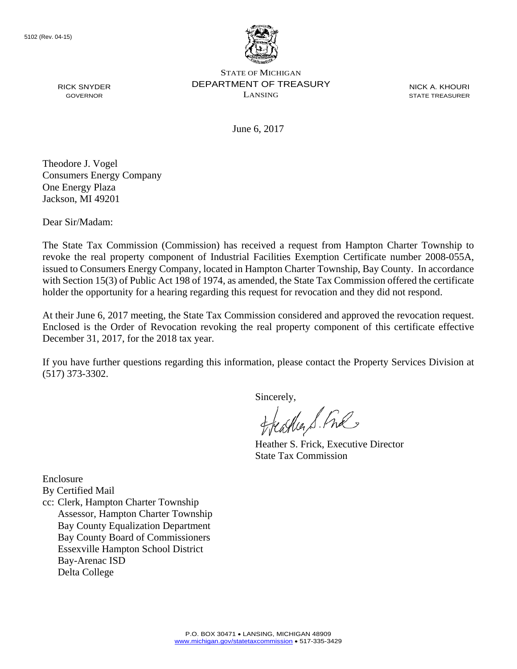

STATE OF MICHIGAN DEPARTMENT OF TREASURY LANSING

NICK A. KHOURI STATE TREASURER

June 6, 2017

Theodore J. Vogel Consumers Energy Company One Energy Plaza Jackson, MI 49201

Dear Sir/Madam:

RICK SNYDER GOVERNOR

The State Tax Commission (Commission) has received a request from Hampton Charter Township to revoke the real property component of Industrial Facilities Exemption Certificate number 2008-055A, issued to Consumers Energy Company, located in Hampton Charter Township, Bay County. In accordance with Section 15(3) of Public Act 198 of 1974, as amended, the State Tax Commission offered the certificate holder the opportunity for a hearing regarding this request for revocation and they did not respond.

At their June 6, 2017 meeting, the State Tax Commission considered and approved the revocation request. Enclosed is the Order of Revocation revoking the real property component of this certificate effective December 31, 2017, for the 2018 tax year.

If you have further questions regarding this information, please contact the Property Services Division at (517) 373-3302.

Sincerely,

eastles & Ful

Heather S. Frick, Executive Director State Tax Commission

Enclosure

By Certified Mail

cc: Clerk, Hampton Charter Township Assessor, Hampton Charter Township Bay County Equalization Department Bay County Board of Commissioners Essexville Hampton School District Bay-Arenac ISD Delta College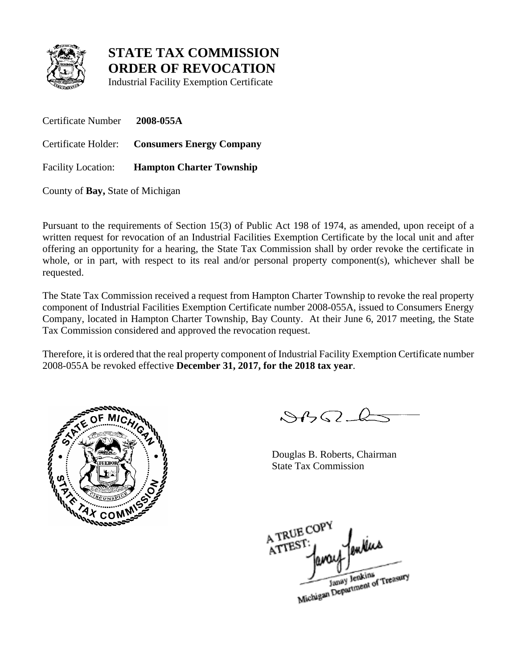

Industrial Facility Exemption Certificate

Certificate Number **2008-055A** Certificate Holder: **Consumers Energy Company** Facility Location: **Hampton Charter Township**

County of **Bay,** State of Michigan

Pursuant to the requirements of Section 15(3) of Public Act 198 of 1974, as amended, upon receipt of a written request for revocation of an Industrial Facilities Exemption Certificate by the local unit and after offering an opportunity for a hearing, the State Tax Commission shall by order revoke the certificate in whole, or in part, with respect to its real and/or personal property component(s), whichever shall be requested.

The State Tax Commission received a request from Hampton Charter Township to revoke the real property component of Industrial Facilities Exemption Certificate number 2008-055A, issued to Consumers Energy Company, located in Hampton Charter Township, Bay County. At their June 6, 2017 meeting, the State Tax Commission considered and approved the revocation request.

Therefore, it is ordered that the real property component of Industrial Facility Exemption Certificate number 2008-055A be revoked effective **December 31, 2017, for the 2018 tax year**.



 $8922$ 

Douglas B. Roberts, Chairman State Tax Commission

A TRUE COP A TREST

Janay Jenkins<br>Michigan Department of Treasury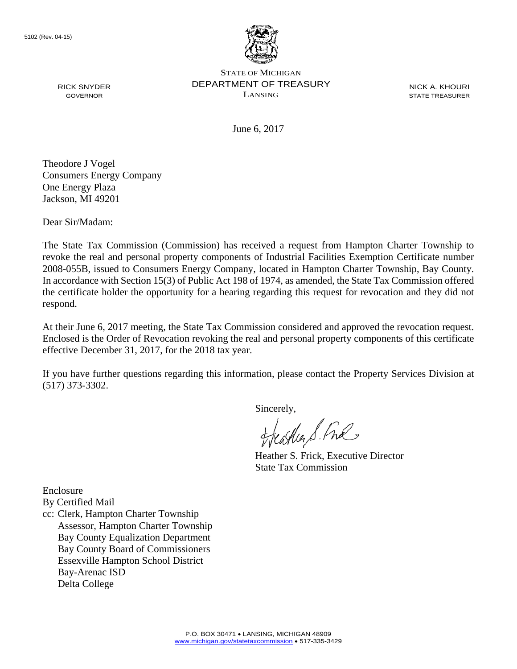

STATE OF MICHIGAN DEPARTMENT OF TREASURY LANSING

NICK A. KHOURI STATE TREASURER

June 6, 2017

Theodore J Vogel Consumers Energy Company One Energy Plaza Jackson, MI 49201

Dear Sir/Madam:

RICK SNYDER GOVERNOR

The State Tax Commission (Commission) has received a request from Hampton Charter Township to revoke the real and personal property components of Industrial Facilities Exemption Certificate number 2008-055B, issued to Consumers Energy Company, located in Hampton Charter Township, Bay County. In accordance with Section 15(3) of Public Act 198 of 1974, as amended, the State Tax Commission offered the certificate holder the opportunity for a hearing regarding this request for revocation and they did not respond.

At their June 6, 2017 meeting, the State Tax Commission considered and approved the revocation request. Enclosed is the Order of Revocation revoking the real and personal property components of this certificate effective December 31, 2017, for the 2018 tax year.

If you have further questions regarding this information, please contact the Property Services Division at (517) 373-3302.

Sincerely,<br>Heather S. Ful

Heather S. Frick, Executive Director State Tax Commission

Enclosure

By Certified Mail

cc: Clerk, Hampton Charter Township Assessor, Hampton Charter Township Bay County Equalization Department Bay County Board of Commissioners Essexville Hampton School District Bay-Arenac ISD Delta College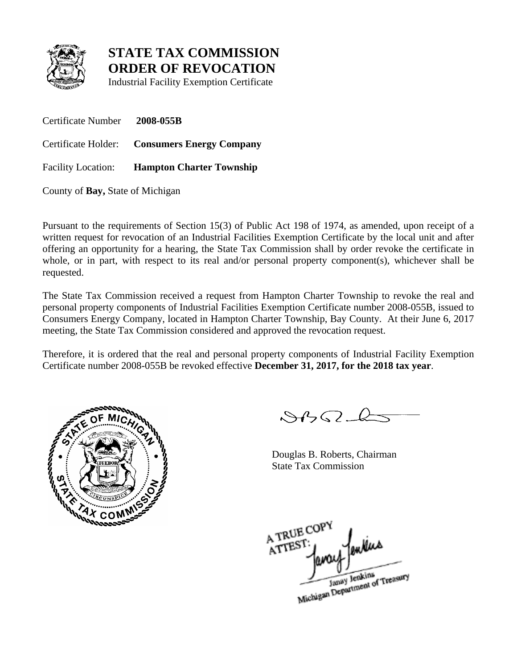

Industrial Facility Exemption Certificate

Certificate Number **2008-055B** Certificate Holder: **Consumers Energy Company** Facility Location: **Hampton Charter Township**

County of **Bay,** State of Michigan

Pursuant to the requirements of Section 15(3) of Public Act 198 of 1974, as amended, upon receipt of a written request for revocation of an Industrial Facilities Exemption Certificate by the local unit and after offering an opportunity for a hearing, the State Tax Commission shall by order revoke the certificate in whole, or in part, with respect to its real and/or personal property component(s), whichever shall be requested.

The State Tax Commission received a request from Hampton Charter Township to revoke the real and personal property components of Industrial Facilities Exemption Certificate number 2008-055B, issued to Consumers Energy Company, located in Hampton Charter Township, Bay County. At their June 6, 2017 meeting, the State Tax Commission considered and approved the revocation request.

Therefore, it is ordered that the real and personal property components of Industrial Facility Exemption Certificate number 2008-055B be revoked effective **December 31, 2017, for the 2018 tax year**.



 $8922$ 

Douglas B. Roberts, Chairman State Tax Commission

A TRUE COP A TREST:

Janay Jenkins<br>Michigan Department of Treasury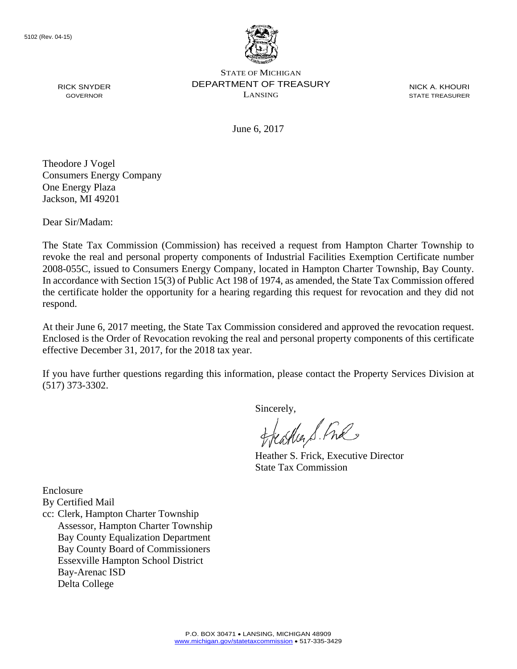

STATE OF MICHIGAN DEPARTMENT OF TREASURY LANSING

NICK A. KHOURI STATE TREASURER

June 6, 2017

Theodore J Vogel Consumers Energy Company One Energy Plaza Jackson, MI 49201

Dear Sir/Madam:

RICK SNYDER GOVERNOR

The State Tax Commission (Commission) has received a request from Hampton Charter Township to revoke the real and personal property components of Industrial Facilities Exemption Certificate number 2008-055C, issued to Consumers Energy Company, located in Hampton Charter Township, Bay County. In accordance with Section 15(3) of Public Act 198 of 1974, as amended, the State Tax Commission offered the certificate holder the opportunity for a hearing regarding this request for revocation and they did not respond.

At their June 6, 2017 meeting, the State Tax Commission considered and approved the revocation request. Enclosed is the Order of Revocation revoking the real and personal property components of this certificate effective December 31, 2017, for the 2018 tax year.

If you have further questions regarding this information, please contact the Property Services Division at (517) 373-3302.

Sincerely,<br>Heather S. Ful

Heather S. Frick, Executive Director State Tax Commission

Enclosure

By Certified Mail

cc: Clerk, Hampton Charter Township Assessor, Hampton Charter Township Bay County Equalization Department Bay County Board of Commissioners Essexville Hampton School District Bay-Arenac ISD Delta College